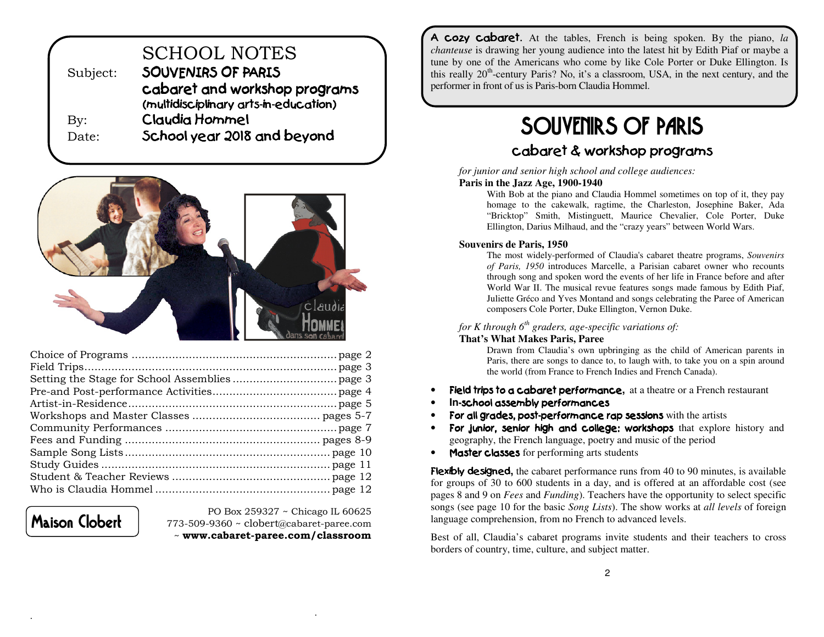| Subject:   | <b>SCHOOL NOTES</b><br>SOUVENIRS OF PARIS                              |
|------------|------------------------------------------------------------------------|
|            | cabaret and workshop programs<br>(multidisciplinary arts-in-education) |
| $\rm\,By:$ | Claudia Hommel                                                         |
| Date:      | School year 2018 and beyond                                            |



Maison Clobert

.

PO Box 259327 ~ Chicago IL 60625 773-509-9360 ~ clobert@cabaret-paree.com ~ www.cabaret-paree.com/classroom

A cozy cabaret. At the tables, French is being spoken. By the piano, *la chanteuse* is drawing her young audience into the latest hit by Edith Piaf or maybe a tune by one of the Americans who come by like Cole Porter or Duke Ellington. Is this really  $20<sup>th</sup>$ -century Paris? No, it's a classroom, USA, in the next century, and the performer in front of us is Paris-born Claudia Hommel.

# SOUVENIRS OF PARIS

## cabaret & workshop programs

*for junior and senior high school and college audiences:* 

#### **Paris in the Jazz Age, 1900-1940**

 With Bob at the piano and Claudia Hommel sometimes on top of it, they pay homage to the cakewalk, ragtime, the Charleston, Josephine Baker, Ada "Bricktop" Smith, Mistinguett, Maurice Chevalier, Cole Porter, Duke Ellington, Darius Milhaud, and the "crazy years" between World Wars.

#### **Souvenirs de Paris, 1950**

 The most widely-performed of Claudia's cabaret theatre programs, *Souvenirs of Paris, 1950* introduces Marcelle, a Parisian cabaret owner who recounts through song and spoken word the events of her life in France before and after World War II. The musical revue features songs made famous by Edith Piaf, Juliette Gréco and Yves Montand and songs celebrating the Paree of American composers Cole Porter, Duke Ellington, Vernon Duke.

#### *for K through 6th graders, age-specific variations of:*

#### **That's What Makes Paris, Paree**

 Drawn from Claudia's own upbringing as the child of American parents in Paris, there are songs to dance to, to laugh with, to take you on a spin around the world (from France to French Indies and French Canada).

- •Field trips to a cabaret performance**,** at a theatre or a French restaurant
- •**In-school assembly performances**
- •For all grades, post-performance rap sessions with the artists
- • For junior, senior high and college: workshops that explore history and geography, the French language, poetry and music of the period
- Master classes for performing arts students

Flexibly designed**,** the cabaret performance runs from 40 to 90 minutes, is available for groups of 30 to 600 students in a day, and is offered at an affordable cost (see pages 8 and 9 on *Fees* and *Funding*). Teachers have the opportunity to select specific songs (see page 10 for the basic *Song Lists*). The show works at *all levels* of foreign language comprehension, from no French to advanced levels.

Best of all, Claudia's cabaret programs invite students and their teachers to cross borders of country, time, culture, and subject matter.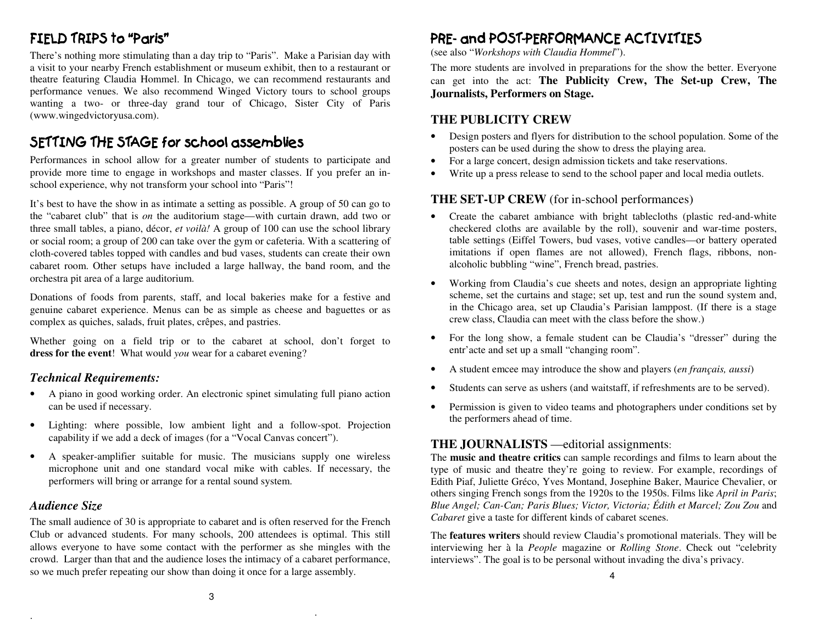## FIELD TRIPS to "Paris"

There's nothing more stimulating than a day trip to "Paris". Make a Parisian day with a visit to your nearby French establishment or museum exhibit, then to a restaurant or theatre featuring Claudia Hommel. In Chicago, we can recommend restaurants and performance venues. We also recommend Winged Victory tours to school groups wanting a two- or three-day grand tour of Chicago, Sister City of Paris (www.wingedvictoryusa.com).

## SETTING THE STAGE for school assemblies

 Performances in school allow for a greater number of students to participate and provide more time to engage in workshops and master classes. If you prefer an inschool experience, why not transform your school into "Paris"!

It's best to have the show in as intimate a setting as possible. A group of 50 can go to the "cabaret club" that is *on* the auditorium stage—with curtain drawn, add two or three small tables, a piano, décor, *et voilà!* A group of 100 can use the school library or social room; a group of 200 can take over the gym or cafeteria. With a scattering of cloth-covered tables topped with candles and bud vases, students can create their own cabaret room. Other setups have included a large hallway, the band room, and the orchestra pit area of a large auditorium.

Donations of foods from parents, staff, and local bakeries make for a festive and genuine cabaret experience. Menus can be as simple as cheese and baguettes or as complex as quiches, salads, fruit plates, crêpes, and pastries.

Whether going on a field trip or to the cabaret at school, don't forget to **dress for the event**! What would *you* wear for a cabaret evening?

#### *Technical Requirements:*

- • A piano in good working order. An electronic spinet simulating full piano action can be used if necessary.
- Lighting: where possible, low ambient light and a follow-spot. Projection capability if we add a deck of images (for a "Vocal Canvas concert").
- • A speaker-amplifier suitable for music. The musicians supply one wireless microphone unit and one standard vocal mike with cables. If necessary, the performers will bring or arrange for a rental sound system.

#### *Audience Size*

.

The small audience of 30 is appropriate to cabaret and is often reserved for the French Club or advanced students. For many schools, 200 attendees is optimal. This still allows everyone to have some contact with the performer as she mingles with the crowd. Larger than that and the audience loses the intimacy of a cabaret performance, so we much prefer repeating our show than doing it once for a large assembly.

## PRE-and POST-PERFORMANCE ACTIVITIES

(see also "*Workshops with Claudia Hommel*").

The more students are involved in preparations for the show the better. Everyone can get into the act: **The Publicity Crew, The Set-up Crew, The Journalists, Performers on Stage.** 

#### **THE PUBLICITY CREW**

- • Design posters and flyers for distribution to the school population. Some of the posters can be used during the show to dress the playing area.
- For a large concert, design admission tickets and take reservations. •
- •Write up a press release to send to the school paper and local media outlets.

#### **THE SET-UP CREW** (for in-school performances)

- • Create the cabaret ambiance with bright tablecloths (plastic red-and-white checkered cloths are available by the roll), souvenir and war-time posters, table settings (Eiffel Towers, bud vases, votive candles—or battery operated imitations if open flames are not allowed), French flags, ribbons, nonalcoholic bubbling "wine", French bread, pastries.
- • Working from Claudia's cue sheets and notes, design an appropriate lighting scheme, set the curtains and stage; set up, test and run the sound system and, in the Chicago area, set up Claudia's Parisian lamppost. (If there is a stage crew class, Claudia can meet with the class before the show.)
- • For the long show, a female student can be Claudia's "dresser" during the entr'acte and set up a small "changing room".
- •A student emcee may introduce the show and players (*en français, aussi*)
- •Students can serve as ushers (and waitstaff, if refreshments are to be served).
- • Permission is given to video teams and photographers under conditions set by the performers ahead of time.

#### **THE JOURNALISTS** —editorial assignments:

The **music and theatre critics** can sample recordings and films to learn about the type of music and theatre they're going to review. For example, recordings of Edith Piaf, Juliette Gréco, Yves Montand, Josephine Baker, Maurice Chevalier, or others singing French songs from the 1920s to the 1950s. Films like *April in Paris*; *Blue Angel; Can-Can; Paris Blues; Victor, Victoria; Édith et Marcel; Zou Zou* and *Cabaret* give a taste for different kinds of cabaret scenes.

The **features writers** should review Claudia's promotional materials. They will be interviewing her à la *People* magazine or *Rolling Stone*. Check out "celebrity interviews". The goal is to be personal without invading the diva's privacy.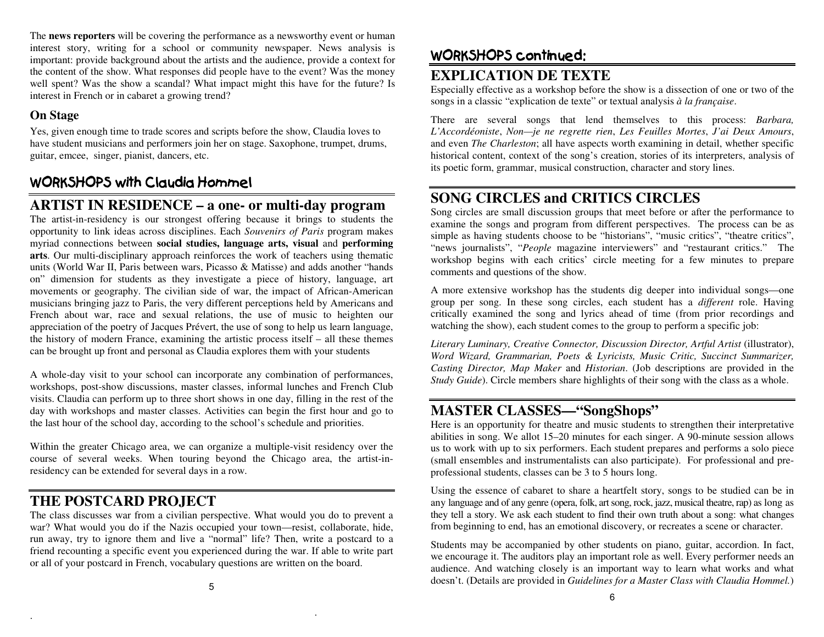The **news reporters** will be covering the performance as a newsworthy event or human interest story, writing for a school or community newspaper. News analysis is important: provide background about the artists and the audience, provide a context for the content of the show. What responses did people have to the event? Was the money well spent? Was the show a scandal? What impact might this have for the future? Is interest in French or in cabaret a growing trend?

#### **On Stage**

Yes, given enough time to trade scores and scripts before the show, Claudia loves to have student musicians and performers join her on stage. Saxophone, trumpet, drums, guitar, emcee, singer, pianist, dancers, etc.

## WORKSHOPS with Claudia Hommel

## **ARTIST IN RESIDENCE – a one- or multi-day program**

 The artist-in-residency is our strongest offering because it brings to students the opportunity to link ideas across disciplines. Each *Souvenirs of Paris* program makes myriad connections between **social studies, language arts, visual** and **performing arts**. Our multi-disciplinary approach reinforces the work of teachers using thematic units (World War II, Paris between wars, Picasso & Matisse) and adds another "hands on" dimension for students as they investigate a piece of history, language, art movements or geography. The civilian side of war, the impact of African-American musicians bringing jazz to Paris, the very different perceptions held by Americans and French about war, race and sexual relations, the use of music to heighten our appreciation of the poetry of Jacques Prévert, the use of song to help us learn language, the history of modern France, examining the artistic process itself – all these themes can be brought up front and personal as Claudia explores them with your students

A whole-day visit to your school can incorporate any combination of performances, workshops, post-show discussions, master classes, informal lunches and French Club visits. Claudia can perform up to three short shows in one day, filling in the rest of the day with workshops and master classes. Activities can begin the first hour and go to the last hour of the school day, according to the school's schedule and priorities.

Within the greater Chicago area, we can organize a multiple-visit residency over the course of several weeks. When touring beyond the Chicago area, the artist-inresidency can be extended for several days in a row.

## **THE POSTCARD PROJECT**

.

 The class discusses war from a civilian perspective. What would you do to prevent a war? What would you do if the Nazis occupied your town—resist, collaborate, hide, run away, try to ignore them and live a "normal" life? Then, write a postcard to a friend recounting a specific event you experienced during the war. If able to write part or all of your postcard in French, vocabulary questions are written on the board.

## WORKSHOPS continued:

## **EXPLICATION DE TEXTE**

 Especially effective as a workshop before the show is a dissection of one or two of the songs in a classic "explication de texte" or textual analysis *à la française*.

There are several songs that lend themselves to this process: *Barbara, L'Accordéoniste*, *Non—je ne regrette rien*, *Les Feuilles Mortes*, *J'ai Deux Amours*, and even *The Charleston*; all have aspects worth examining in detail, whether specific historical content, context of the song's creation, stories of its interpreters, analysis of its poetic form, grammar, musical construction, character and story lines.

## **SONG CIRCLES and CRITICS CIRCLES**

 Song circles are small discussion groups that meet before or after the performance to examine the songs and program from different perspectives. The process can be as simple as having students choose to be "historians", "music critics", "theatre critics", "news journalists", "*People* magazine interviewers" and "restaurant critics." The workshop begins with each critics' circle meeting for a few minutes to prepare comments and questions of the show.

A more extensive workshop has the students dig deeper into individual songs—one group per song. In these song circles, each student has a *different* role. Having critically examined the song and lyrics ahead of time (from prior recordings and watching the show), each student comes to the group to perform a specific job:

*Literary Luminary, Creative Connector, Discussion Director, Artful Artist* (illustrator), *Word Wizard, Grammarian, Poets & Lyricists, Music Critic, Succinct Summarizer, Casting Director, Map Maker* and *Historian*. (Job descriptions are provided in the *Study Guide*). Circle members share highlights of their song with the class as a whole.

## **MASTER CLASSES—"SongShops"**

 Here is an opportunity for theatre and music students to strengthen their interpretative abilities in song. We allot 15–20 minutes for each singer. A 90-minute session allows us to work with up to six performers. Each student prepares and performs a solo piece (small ensembles and instrumentalists can also participate). For professional and preprofessional students, classes can be 3 to 5 hours long.

Using the essence of cabaret to share a heartfelt story, songs to be studied can be in any language and of any genre (opera, folk, art song, rock, jazz, musical theatre, rap) as long as they tell a story. We ask each student to find their own truth about a song: what changes from beginning to end, has an emotional discovery, or recreates a scene or character.

Students may be accompanied by other students on piano, guitar, accordion. In fact, we encourage it. The auditors play an important role as well. Every performer needs an audience. And watching closely is an important way to learn what works and what doesn't. (Details are provided in *Guidelines for a Master Class with Claudia Hommel.*)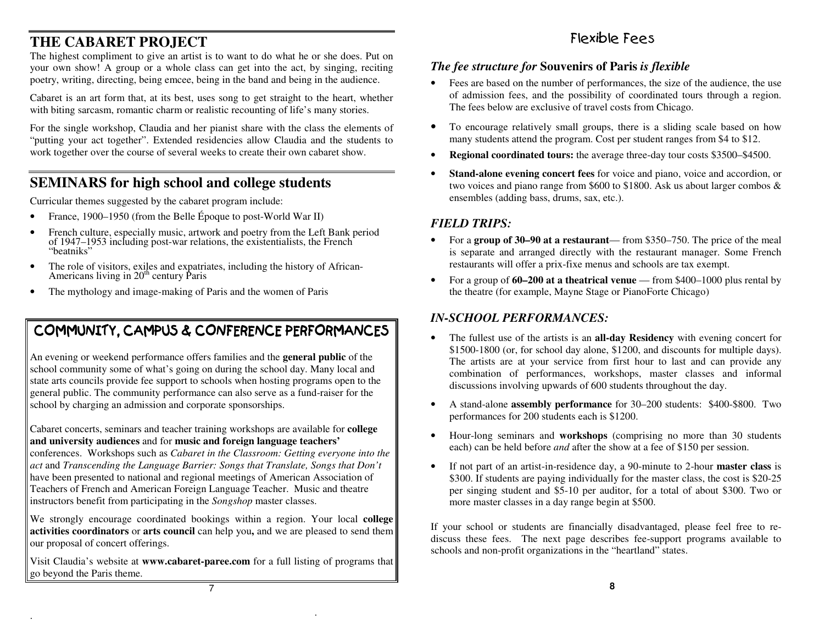## **THE CABARET PROJECT**

 The highest compliment to give an artist is to want to do what he or she does. Put on your own show! A group or a whole class can get into the act, by singing, reciting poetry, writing, directing, being emcee, being in the band and being in the audience.

Cabaret is an art form that, at its best, uses song to get straight to the heart, whether with biting sarcasm, romantic charm or realistic recounting of life's many stories.

For the single workshop, Claudia and her pianist share with the class the elements of "putting your act together". Extended residencies allow Claudia and the students to work together over the course of several weeks to create their own cabaret show.

## **SEMINARS for high school and college students**

Curricular themes suggested by the cabaret program include:

- •France, 1900–1950 (from the Belle Époque to post-World War II)
- • French culture, especially music, artwork and poetry from the Left Bank period of 1947–1953 including post-war relations, the existentialists, the French "beatniks"
- • The role of visitors, exiles and expatriates, including the history of African-Americans living in  $20<sup>th</sup>$  century Paris
- •The mythology and image-making of Paris and the women of Paris

## COMMUNITY, CAMPUS & CONFERENCE PERFORMANCES

An evening or weekend performance offers families and the **general public** of the school community some of what's going on during the school day. Many local and state arts councils provide fee support to schools when hosting programs open to the general public. The community performance can also serve as a fund-raiser for the school by charging an admission and corporate sponsorships.

Cabaret concerts, seminars and teacher training workshops are available for **college and university audiences** and for **music and foreign language teachers'** 

 conferences. Workshops such as *Cabaret in the Classroom: Getting everyone into theact* and *Transcending the Language Barrier: Songs that Translate, Songs that Don't* have been presented to national and regional meetings of American Association of Teachers of French and American Foreign Language Teacher. Music and theatre instructors benefit from participating in the *Songshop* master classes.

We strongly encourage coordinated bookings within a region. Your local **college activities coordinators** or **arts council** can help you**,** and we are pleased to send them our proposal of concert offerings.

Visit Claudia's website at **www.cabaret-paree.com** for a full listing of programs that go beyond the Paris theme.

## Flexible Fees

#### *The fee structure for* **Souvenirs of Paris** *is flexible*

- • Fees are based on the number of performances, the size of the audience, the use of admission fees, and the possibility of coordinated tours through a region. The fees below are exclusive of travel costs from Chicago.
- To encourage relatively small groups, there is a sliding scale based on how many students attend the program. Cost per student ranges from \$4 to \$12.
- •**Regional coordinated tours:** the average three-day tour costs \$3500–\$4500.
- • **Stand-alone evening concert fees** for voice and piano, voice and accordion, or two voices and piano range from \$600 to \$1800. Ask us about larger combos & ensembles (adding bass, drums, sax, etc.).

#### *FIELD TRIPS:*

- • For a **group of 30–90 at a restaurant**— from \$350–750. The price of the meal is separate and arranged directly with the restaurant manager. Some French restaurants will offer a prix-fixe menus and schools are tax exempt.
- $\bullet$  For a group of **60–200 at a theatrical venue** — from \$400–1000 plus rental by the theatre (for example, Mayne Stage or PianoForte Chicago)

#### *IN-SCHOOL PERFORMANCES:*

- • The fullest use of the artists is an **all-day Residency** with evening concert for \$1500-1800 (or, for school day alone, \$1200, and discounts for multiple days). The artists are at your service from first hour to last and can provide any combination of performances, workshops, master classes and informal discussions involving upwards of 600 students throughout the day.
- • A stand-alone **assembly performance** for 30–200 students: \$400-\$800. Two performances for 200 students each is \$1200.
- • Hour-long seminars and **workshops** (comprising no more than 30 students each) can be held before *and* after the show at a fee of \$150 per session.
- • If not part of an artist-in-residence day, a 90-minute to 2-hour **master class** is \$300. If students are paying individually for the master class, the cost is \$20-25 per singing student and \$5-10 per auditor, for a total of about \$300. Two or more master classes in a day range begin at \$500.

If your school or students are financially disadvantaged, please feel free to rediscuss these fees. The next page describes fee-support programs available to schools and non-profit organizations in the "heartland" states.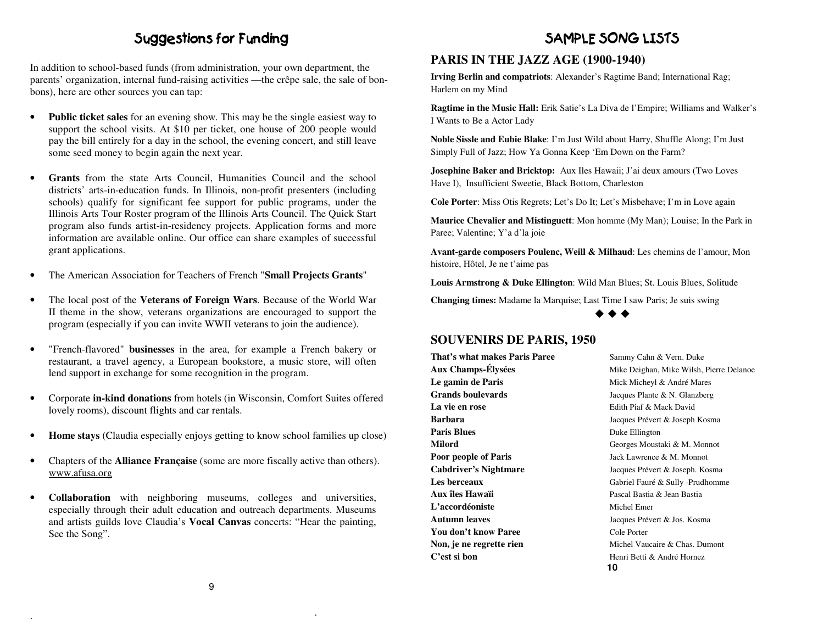## Suggestions for Funding

In addition to school-based funds (from administration, your own department, the parents' organization, internal fund-raising activities —the crêpe sale, the sale of bonbons), here are other sources you can tap:

- • **Public ticket sales** for an evening show. This may be the single easiest way to support the school visits. At \$10 per ticket, one house of 200 people would pay the bill entirely for a day in the school, the evening concert, and still leave some seed money to begin again the next year.
- • **Grants** from the state Arts Council, Humanities Council and the school districts' arts-in-education funds. In Illinois, non-profit presenters (including schools) qualify for significant fee support for public programs, under the Illinois Arts Tour Roster program of the Illinois Arts Council. The Quick Start program also funds artist-in-residency projects. Application forms and more information are available online. Our office can share examples of successful grant applications.
- •The American Association for Teachers of French "**Small Projects Grants**"
- • The local post of the **Veterans of Foreign Wars**. Because of the World War II theme in the show, veterans organizations are encouraged to support the program (especially if you can invite WWII veterans to join the audience).
- • "French-flavored" **businesses** in the area, for example a French bakery or restaurant, a travel agency, a European bookstore, a music store, will often lend support in exchange for some recognition in the program.
- • Corporate **in-kind donations** from hotels (in Wisconsin, Comfort Suites offered lovely rooms), discount flights and car rentals.
- •**Home stays** (Claudia especially enjoys getting to know school families up close)
- • Chapters of the **Alliance Française** (some are more fiscally active than others). www.afusa.org
- • **Collaboration** with neighboring museums, colleges and universities, especially through their adult education and outreach departments. Museums and artists guilds love Claudia's **Vocal Canvas** concerts: "Hear the painting, See the Song".

### SAMPLE SONG LISTS

#### **PARIS IN THE JAZZ AGE (1900-1940)**

**Irving Berlin and compatriots**: Alexander's Ragtime Band; International Rag; Harlem on my Mind

**Ragtime in the Music Hall:** Erik Satie's La Diva de l'Empire; Williams and Walker's I Wants to Be a Actor Lady

**Noble Sissle and Eubie Blake**: I'm Just Wild about Harry, Shuffle Along; I'm Just Simply Full of Jazz; How Ya Gonna Keep 'Em Down on the Farm?

**Josephine Baker and Bricktop:** Aux Iles Hawaii; J'ai deux amours (Two Loves Have I), Insufficient Sweetie, Black Bottom, Charleston

**Cole Porter**: Miss Otis Regrets; Let's Do It; Let's Misbehave; I'm in Love again

**Maurice Chevalier and Mistinguett**: Mon homme (My Man); Louise; In the Park in Paree; Valentine; Y'a d'la joie

**Avant-garde composers Poulenc, Weill & Milhaud**: Les chemins de l'amour, Mon histoire, Hôtel, Je ne t'aime pas

**Louis Armstrong & Duke Ellington**: Wild Man Blues; St. Louis Blues, Solitude

**Changing times:** Madame la Marquise; Last Time I saw Paris; Je suis swing



#### **SOUVENIRS DE PARIS, 1950**

Le gamin de Paris Mick Micheyl & André Mares **Grands boulevards Jacques Plante & N. Glanzberg La vie en rose Edith Piaf & Mack David Barbara** Jacques Prévert & Joseph Kosma **Paris Blues** Duke Ellington **Milord** Georges Moustaki & M. Monnot **Poor people of Paris 32 Jack Lawrence & M. Monnot Aux îles HawaïiL'accordéoniste** Michel Emer **Autumn leaves** Jacques Prévert & Jos. Kosma **You don't know Paree** Cole Porter **C'est si bon Henri Betti & André Hornez** 

**That's what makes Paris Paree** Sammy Cahn & Vern. Duke **Aux Champs-Élysées** Mike Deighan, Mike Wilsh, Pierre Delanoe **Cabdriver's Nightmare** Jacques Prévert & Joseph. Kosma Les berceaux **Gabriel Fauré & Sully -Prudhomme**  Pascal Bastia & Jean Bastia**Non, je ne regrette rien** Michel Vaucaire & Chas. Dumont **10**

.